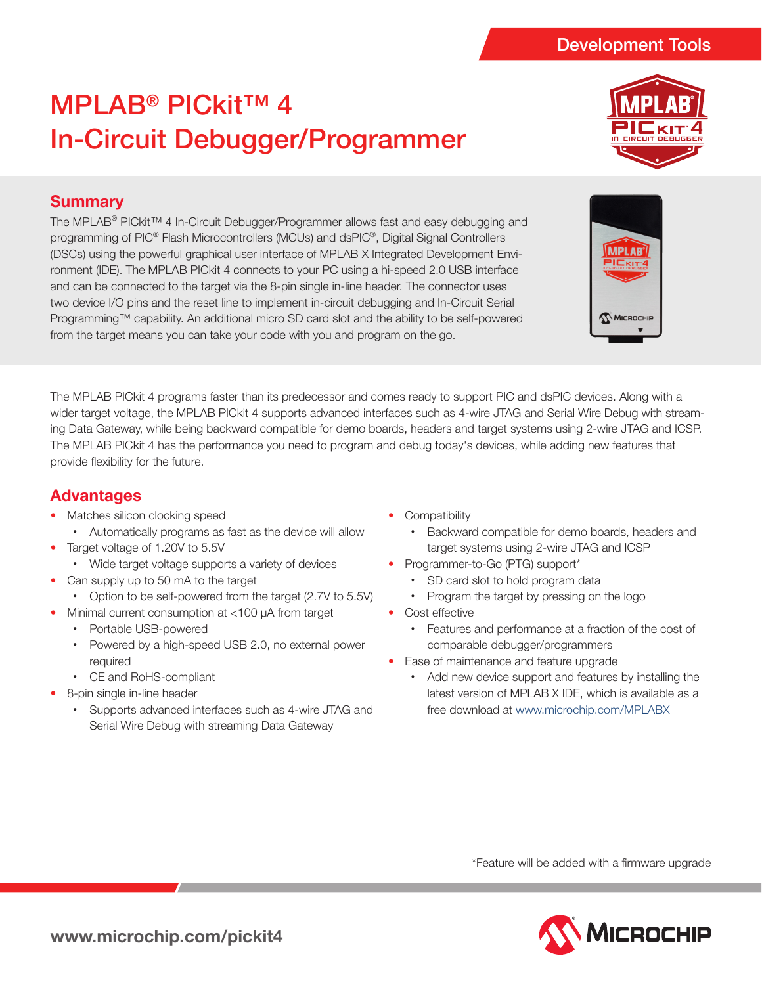# MPLAB® PICkit™ 4 In-Circuit Debugger/Programmer



## **Summary**

The MPLAB® PICkit™ 4 In-Circuit Debugger/Programmer allows fast and easy debugging and programming of PIC® Flash Microcontrollers (MCUs) and dsPIC®, Digital Signal Controllers (DSCs) using the powerful graphical user interface of MPLAB X Integrated Development Environment (IDE). The MPLAB PICkit 4 connects to your PC using a hi-speed 2.0 USB interface and can be connected to the target via the 8-pin single in-line header. The connector uses two device I/O pins and the reset line to implement in-circuit debugging and In-Circuit Serial Programming™ capability. An additional micro SD card slot and the ability to be self-powered from the target means you can take your code with you and program on the go.



The MPLAB PICkit 4 programs faster than its predecessor and comes ready to support PIC and dsPIC devices. Along with a wider target voltage, the MPLAB PICkit 4 supports advanced interfaces such as 4-wire JTAG and Serial Wire Debug with streaming Data Gateway, while being backward compatible for demo boards, headers and target systems using 2-wire JTAG and ICSP. The MPLAB PICkit 4 has the performance you need to program and debug today's devices, while adding new features that provide flexibility for the future.

## **Advantages**

- Matches silicon clocking speed
	- • Automatically programs as fast as the device will allow
	- Target voltage of 1.20V to 5.5V
		- Wide target voltage supports a variety of devices
- Can supply up to 50 mA to the target
- Option to be self-powered from the target (2.7V to 5.5V)
- Minimal current consumption at <100 µA from target
	- • Portable USB-powered
	- • Powered by a high-speed USB 2.0, no external power required
	- • CE and RoHS-compliant
- 8-pin single in-line header
	- • Supports advanced interfaces such as 4-wire JTAG and Serial Wire Debug with streaming Data Gateway
- **Compatibility** 
	- • Backward compatible for demo boards, headers and target systems using 2-wire JTAG and ICSP
- Programmer-to-Go (PTG) support\*
	- SD card slot to hold program data
	- Program the target by pressing on the logo
- Cost effective
	- • Features and performance at a fraction of the cost of comparable debugger/programmers
- Ease of maintenance and feature upgrade
	- • Add new device support and features by installing the latest version of MPLAB X IDE, which is available as a free download at www.microchip.com/MPLABX

\*Feature will be added with a firmware upgrade